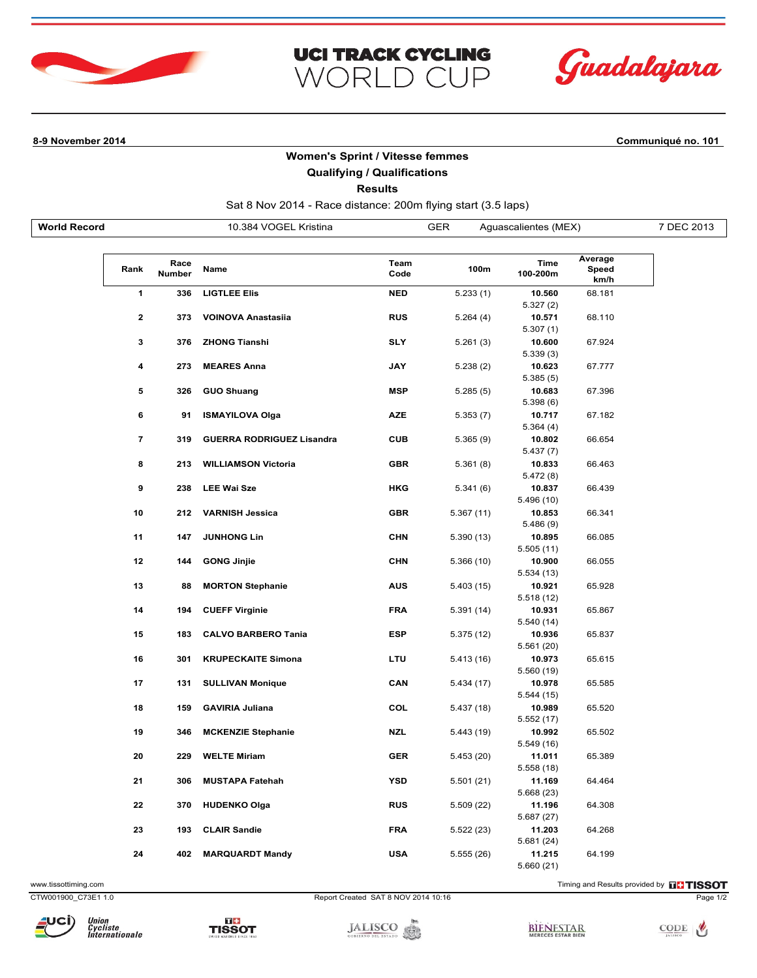



**8-9 November 2014 Communiqué no. 101**

## **Women's Sprint / Vitesse femmes**

**UCI TRACK CYCLING** 

WORLD CUP

## **Qualifying / Qualifications**

**Results**

Sat 8 Nov 2014 - Race distance: 200m flying start (3.5 laps)

| <b>World Record</b> |                |                | 10.384 VOGEL Kristina            |              | <b>GER</b> | Aguascalientes (MEX) |                          | 7 DEC 2013 |
|---------------------|----------------|----------------|----------------------------------|--------------|------------|----------------------|--------------------------|------------|
|                     | Rank           | Race<br>Number | Name                             | Team<br>Code | 100m       | Time<br>100-200m     | Average<br>Speed<br>km/h |            |
|                     | 1              | 336            | <b>LIGTLEE Elis</b>              | <b>NED</b>   | 5.233(1)   | 10.560<br>5.327 (2)  | 68.181                   |            |
|                     | 2              | 373            | <b>VOINOVA Anastasiia</b>        | <b>RUS</b>   | 5.264 (4)  | 10.571<br>5.307(1)   | 68.110                   |            |
|                     | 3              | 376            | <b>ZHONG Tianshi</b>             | <b>SLY</b>   | 5.261(3)   | 10.600<br>5.339(3)   | 67.924                   |            |
|                     | 4              | 273            | <b>MEARES Anna</b>               | JAY          | 5.238(2)   | 10.623<br>5.385(5)   | 67.777                   |            |
|                     | 5              | 326            | <b>GUO Shuang</b>                | <b>MSP</b>   | 5.285(5)   | 10.683<br>5.398(6)   | 67.396                   |            |
|                     | 6              | 91             | <b>ISMAYILOVA Olga</b>           | <b>AZE</b>   | 5.353(7)   | 10.717<br>5.364(4)   | 67.182                   |            |
|                     | $\overline{7}$ | 319            | <b>GUERRA RODRIGUEZ Lisandra</b> | <b>CUB</b>   | 5.365(9)   | 10.802<br>5.437 (7)  | 66.654                   |            |
|                     | 8              | 213            | <b>WILLIAMSON Victoria</b>       | <b>GBR</b>   | 5.361(8)   | 10.833<br>5.472 (8)  | 66.463                   |            |
|                     | 9              | 238            | <b>LEE Wai Sze</b>               | HKG          | 5.341(6)   | 10.837<br>5.496 (10) | 66.439                   |            |
|                     | 10             | 212            | <b>VARNISH Jessica</b>           | <b>GBR</b>   | 5.367 (11) | 10.853<br>5.486(9)   | 66.341                   |            |
|                     | 11             | 147            | <b>JUNHONG Lin</b>               | <b>CHN</b>   | 5.390 (13) | 10.895<br>5.505(11)  | 66.085                   |            |
|                     | 12             | 144            | <b>GONG Jinjie</b>               | <b>CHN</b>   | 5.366 (10) | 10.900<br>5.534(13)  | 66.055                   |            |
|                     | 13             | 88             | <b>MORTON Stephanie</b>          | <b>AUS</b>   | 5.403 (15) | 10.921<br>5.518(12)  | 65.928                   |            |
|                     | 14             | 194            | <b>CUEFF Virginie</b>            | <b>FRA</b>   | 5.391 (14) | 10.931<br>5.540 (14) | 65.867                   |            |
|                     | 15             | 183            | <b>CALVO BARBERO Tania</b>       | <b>ESP</b>   | 5.375 (12) | 10.936<br>5.561 (20) | 65.837                   |            |
|                     | 16             | 301            | <b>KRUPECKAITE Simona</b>        | LTU          | 5.413 (16) | 10.973<br>5.560 (19) | 65.615                   |            |
|                     | 17             | 131            | <b>SULLIVAN Monique</b>          | CAN          | 5.434 (17) | 10.978<br>5.544 (15) | 65.585                   |            |
|                     | 18             | 159            | <b>GAVIRIA Juliana</b>           | COL          | 5.437 (18) | 10.989<br>5.552 (17) | 65.520                   |            |
|                     | 19             | 346            | <b>MCKENZIE Stephanie</b>        | <b>NZL</b>   | 5.443 (19) | 10.992<br>5.549 (16) | 65.502                   |            |
|                     | 20             | 229            | <b>WELTE Miriam</b>              | <b>GER</b>   | 5.453 (20) | 11.011<br>5.558 (18) | 65.389                   |            |
|                     | 21             | 306            | <b>MUSTAPA Fatehah</b>           | <b>YSD</b>   | 5.501(21)  | 11.169<br>5.668(23)  | 64.464                   |            |
|                     | 22             | 370            | <b>HUDENKO Olga</b>              | <b>RUS</b>   | 5.509 (22) | 11.196<br>5.687(27)  | 64.308                   |            |
|                     | 23             | 193            | <b>CLAIR Sandie</b>              | <b>FRA</b>   | 5.522 (23) | 11.203<br>5.681 (24) | 64.268                   |            |
|                     | 24             | 402            | <b>MARQUARDT Mandy</b>           | <b>USA</b>   | 5.555(26)  | 11.215<br>5.660(21)  | 64.199                   |            |

www.tissottiming.com **EXECUTES CONTEXT CONTEXT** Timing and Results provided by **EXECUTES CONTEXT AND RESULTS SO TIMING** 

CTW001900\_C73E1 1.0 Report Created SAT 8 NOV 2014 10:16 Page 1/2



TISSOT

**JALISCO**